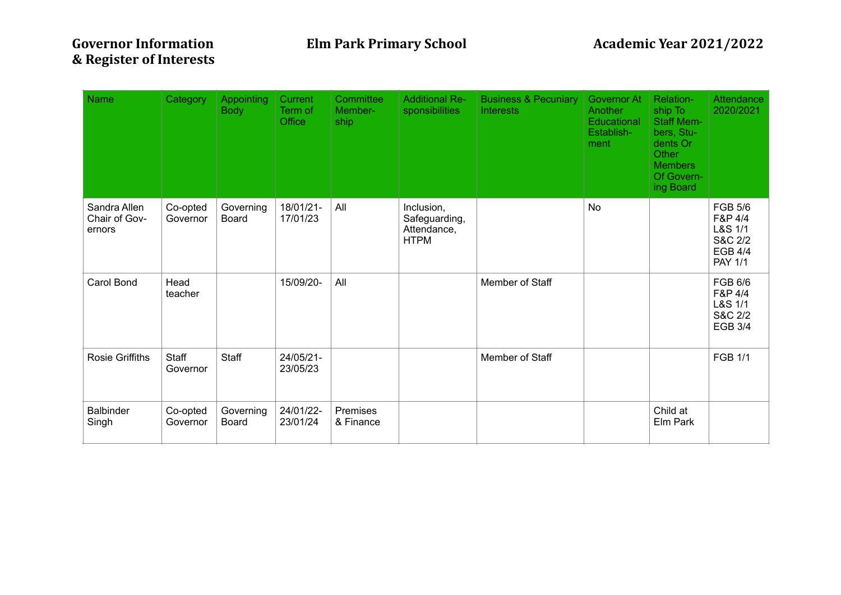| <b>Name</b>                             | Category             | <b>Appointing</b><br><b>Body</b> | Current<br>Term of<br><b>Office</b> | Committee<br>Member-<br>ship | <b>Additional Re-</b><br>sponsibilities                   | <b>Business &amp; Pecuniary</b><br>Interests | Governor At<br>Another<br>Educational<br>Establish-<br>ment | Relation-<br>ship To<br><b>Staff Mem-</b><br>bers, Stu-<br>dents Or<br>Other<br><b>Members</b><br>Of Govern-<br>ing Board | Attendance<br>2020/2021                                                             |
|-----------------------------------------|----------------------|----------------------------------|-------------------------------------|------------------------------|-----------------------------------------------------------|----------------------------------------------|-------------------------------------------------------------|---------------------------------------------------------------------------------------------------------------------------|-------------------------------------------------------------------------------------|
| Sandra Allen<br>Chair of Gov-<br>ernors | Co-opted<br>Governor | Governing<br><b>Board</b>        | 18/01/21-<br>17/01/23               | All                          | Inclusion,<br>Safeguarding,<br>Attendance,<br><b>HTPM</b> |                                              | <b>No</b>                                                   |                                                                                                                           | <b>FGB 5/6</b><br>F&P 4/4<br>L&S 1/1<br>S&C 2/2<br><b>EGB 4/4</b><br><b>PAY 1/1</b> |
| Carol Bond                              | Head<br>teacher      |                                  | 15/09/20-                           | All                          |                                                           | Member of Staff                              |                                                             |                                                                                                                           | FGB 6/6<br>F&P 4/4<br>L&S 1/1<br>S&C 2/2<br><b>EGB 3/4</b>                          |
| <b>Rosie Griffiths</b>                  | Staff<br>Governor    | Staff                            | 24/05/21-<br>23/05/23               |                              |                                                           | Member of Staff                              |                                                             |                                                                                                                           | <b>FGB 1/1</b>                                                                      |
| <b>Balbinder</b><br>Singh               | Co-opted<br>Governor | Governing<br><b>Board</b>        | 24/01/22-<br>23/01/24               | Premises<br>& Finance        |                                                           |                                              |                                                             | Child at<br>Elm Park                                                                                                      |                                                                                     |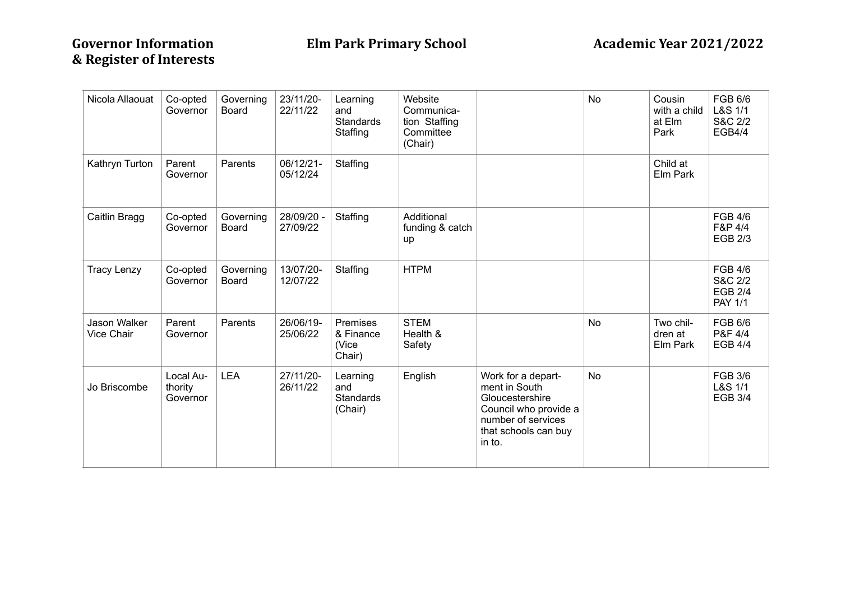| Nicola Allaouat            | Co-opted<br>Governor             | Governing<br>Board | 23/11/20-<br>22/11/22  | Learning<br>and<br>Standards<br>Staffing       | Website<br>Communica-<br>tion Staffing<br>Committee<br>(Chair) |                                                                                                                                         | <b>No</b> | Cousin<br>with a child<br>at Elm<br>Park | FGB 6/6<br>L&S 1/1<br>S&C 2/2<br><b>EGB4/4</b>                |
|----------------------------|----------------------------------|--------------------|------------------------|------------------------------------------------|----------------------------------------------------------------|-----------------------------------------------------------------------------------------------------------------------------------------|-----------|------------------------------------------|---------------------------------------------------------------|
| Kathryn Turton             | Parent<br>Governor               | Parents            | 06/12/21-<br>05/12/24  | Staffing                                       |                                                                |                                                                                                                                         |           | Child at<br>Elm Park                     |                                                               |
| Caitlin Bragg              | Co-opted<br>Governor             | Governing<br>Board | 28/09/20 -<br>27/09/22 | Staffing                                       | Additional<br>funding & catch<br>up                            |                                                                                                                                         |           |                                          | <b>FGB 4/6</b><br>F&P 4/4<br><b>EGB 2/3</b>                   |
| <b>Tracy Lenzy</b>         | Co-opted<br>Governor             | Governing<br>Board | 13/07/20-<br>12/07/22  | Staffing                                       | <b>HTPM</b>                                                    |                                                                                                                                         |           |                                          | <b>FGB 4/6</b><br>S&C 2/2<br><b>EGB 2/4</b><br><b>PAY 1/1</b> |
| Jason Walker<br>Vice Chair | Parent<br>Governor               | Parents            | 26/06/19-<br>25/06/22  | Premises<br>& Finance<br>(Vice<br>Chair)       | <b>STEM</b><br>Health &<br>Safety                              |                                                                                                                                         | No        | Two chil-<br>dren at<br>Elm Park         | FGB 6/6<br>P&F 4/4<br><b>EGB 4/4</b>                          |
| Jo Briscombe               | Local Au-<br>thority<br>Governor | <b>LEA</b>         | 27/11/20-<br>26/11/22  | Learning<br>and<br><b>Standards</b><br>(Chair) | English                                                        | Work for a depart-<br>ment in South<br>Gloucestershire<br>Council who provide a<br>number of services<br>that schools can buy<br>in to. | No        |                                          | <b>FGB 3/6</b><br>L&S 1/1<br><b>EGB 3/4</b>                   |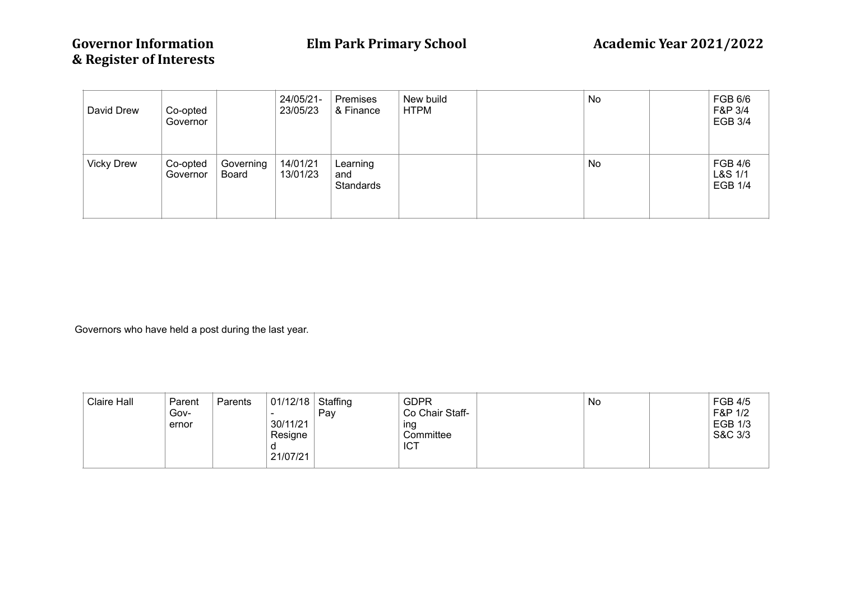| David Drew        | Co-opted<br>Governor |                           | 24/05/21-<br>23/05/23 | Premises<br>& Finance        | New build<br><b>HTPM</b> | No | FGB 6/6<br>F&P 3/4<br><b>EGB 3/4</b>        |
|-------------------|----------------------|---------------------------|-----------------------|------------------------------|--------------------------|----|---------------------------------------------|
| <b>Vicky Drew</b> | Co-opted<br>Governor | Governing<br><b>Board</b> | 14/01/21<br>13/01/23  | Learning<br>and<br>Standards |                          | No | <b>FGB 4/6</b><br>L&S 1/1<br><b>EGB 1/4</b> |

Governors who have held a post during the last year.

| <b>Claire Hall</b> | Parent<br>Gov-<br>ernor | Parents | 01/12/18<br>30/11/21<br>Resigne<br>21/07/21 | Staffing<br>Pay | <b>GDPR</b><br>Co Chair Staff-<br>ing<br>Committee<br><b>ICT</b> |  | No |  | <b>FGB 4/5</b><br>F&P 1/2<br><b>EGB 1/3</b><br>S&C 3/3 |
|--------------------|-------------------------|---------|---------------------------------------------|-----------------|------------------------------------------------------------------|--|----|--|--------------------------------------------------------|
|--------------------|-------------------------|---------|---------------------------------------------|-----------------|------------------------------------------------------------------|--|----|--|--------------------------------------------------------|